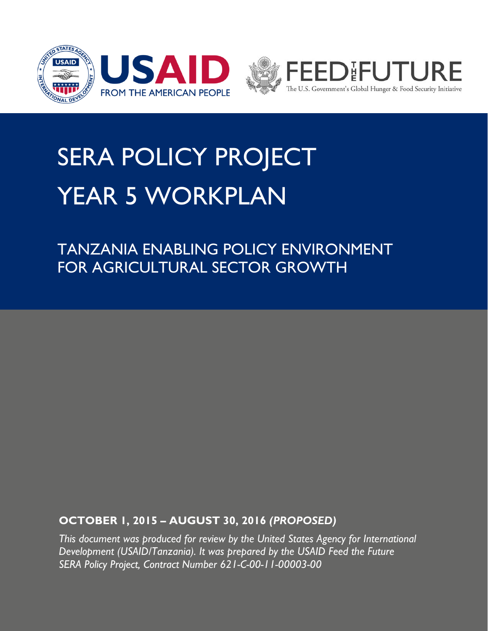



# SERA POLICY PROJECT YEAR 5 WORKPLAN

TANZANIA ENABLING POLICY ENVIRONMENT FOR AGRICULTURAL SECTOR GROWTH

# **OCTOBER 1, 2015 – AUGUST 30, 2016** *(PROPOSED)*

*This document was produced for review by the United States Agency for International Development (USAID/Tanzania). It was prepared by the USAID Feed the Future SERA Policy Project, Contract Number 621-C-00-11-00003-00*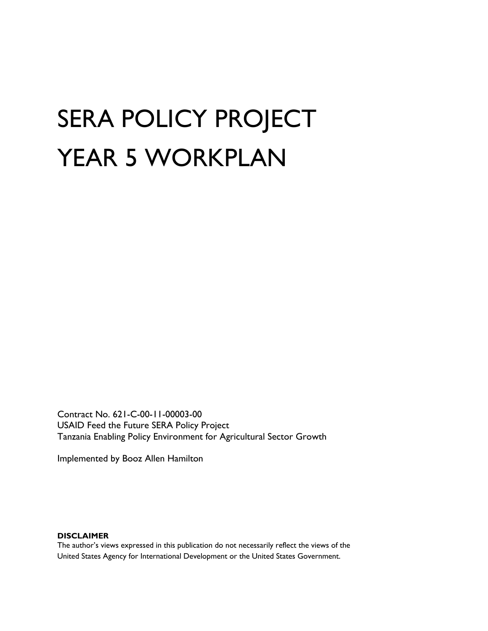# SERA POLICY PROJECT YEAR 5 WORKPLAN

Contract No. 621-C-00-11-00003-00 USAID Feed the Future SERA Policy Project Tanzania Enabling Policy Environment for Agricultural Sector Growth

Implemented by Booz Allen Hamilton

#### **DISCLAIMER**

The author's views expressed in this publication do not necessarily reflect the views of the United States Agency for International Development or the United States Government.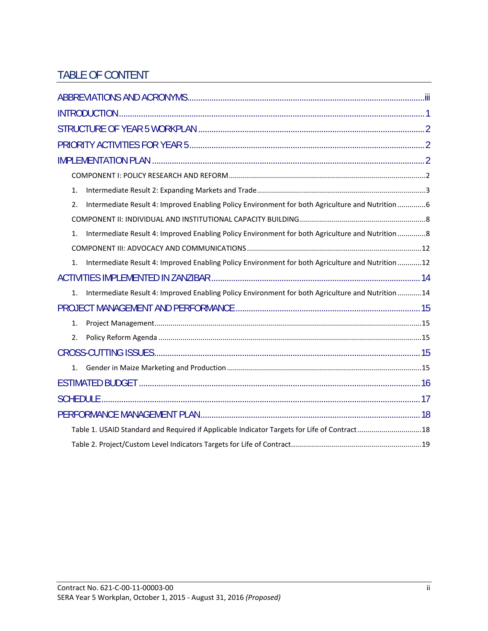# TABLE OF CONTENT

| 1 <sub>1</sub>                                                                                                      |  |
|---------------------------------------------------------------------------------------------------------------------|--|
| Intermediate Result 4: Improved Enabling Policy Environment for both Agriculture and Nutrition 6<br>2.              |  |
|                                                                                                                     |  |
| Intermediate Result 4: Improved Enabling Policy Environment for both Agriculture and Nutrition 8<br>1.              |  |
|                                                                                                                     |  |
| Intermediate Result 4: Improved Enabling Policy Environment for both Agriculture and Nutrition 12<br>1 <sub>1</sub> |  |
|                                                                                                                     |  |
| Intermediate Result 4: Improved Enabling Policy Environment for both Agriculture and Nutrition 14<br>1.             |  |
|                                                                                                                     |  |
| 1.                                                                                                                  |  |
| 2.                                                                                                                  |  |
|                                                                                                                     |  |
| $1_{-}$                                                                                                             |  |
|                                                                                                                     |  |
|                                                                                                                     |  |
|                                                                                                                     |  |
| Table 1. USAID Standard and Required if Applicable Indicator Targets for Life of Contract18                         |  |
|                                                                                                                     |  |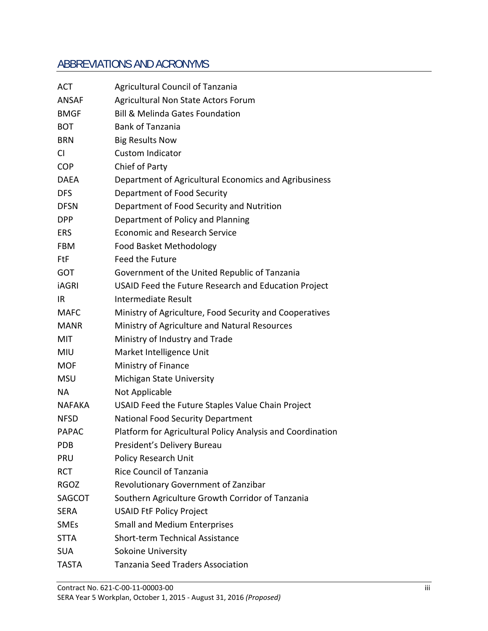# ABBREVIATIONS AND ACRONYMS

| ACT           | <b>Agricultural Council of Tanzania</b>                    |
|---------------|------------------------------------------------------------|
| <b>ANSAF</b>  | Agricultural Non State Actors Forum                        |
| <b>BMGF</b>   | <b>Bill &amp; Melinda Gates Foundation</b>                 |
| <b>BOT</b>    | <b>Bank of Tanzania</b>                                    |
| <b>BRN</b>    | <b>Big Results Now</b>                                     |
| <b>CI</b>     | <b>Custom Indicator</b>                                    |
| <b>COP</b>    | Chief of Party                                             |
| <b>DAEA</b>   | Department of Agricultural Economics and Agribusiness      |
| <b>DFS</b>    | Department of Food Security                                |
| <b>DFSN</b>   | Department of Food Security and Nutrition                  |
| <b>DPP</b>    | Department of Policy and Planning                          |
| <b>ERS</b>    | <b>Economic and Research Service</b>                       |
| <b>FBM</b>    | Food Basket Methodology                                    |
| FtF           | Feed the Future                                            |
| <b>GOT</b>    | Government of the United Republic of Tanzania              |
| <b>iAGRI</b>  | USAID Feed the Future Research and Education Project       |
| IR.           | Intermediate Result                                        |
| <b>MAFC</b>   | Ministry of Agriculture, Food Security and Cooperatives    |
| <b>MANR</b>   | Ministry of Agriculture and Natural Resources              |
| MIT           | Ministry of Industry and Trade                             |
| <b>MIU</b>    | Market Intelligence Unit                                   |
| <b>MOF</b>    | Ministry of Finance                                        |
| <b>MSU</b>    | Michigan State University                                  |
| <b>NA</b>     | Not Applicable                                             |
| NAFAKA        | USAID Feed the Future Staples Value Chain Project          |
| <b>NFSD</b>   | <b>National Food Security Department</b>                   |
| <b>PAPAC</b>  | Platform for Agricultural Policy Analysis and Coordination |
| <b>PDB</b>    | President's Delivery Bureau                                |
| <b>PRU</b>    | Policy Research Unit                                       |
| <b>RCT</b>    | <b>Rice Council of Tanzania</b>                            |
| <b>RGOZ</b>   | Revolutionary Government of Zanzibar                       |
| <b>SAGCOT</b> | Southern Agriculture Growth Corridor of Tanzania           |
| <b>SERA</b>   | <b>USAID FtF Policy Project</b>                            |
| <b>SMEs</b>   | <b>Small and Medium Enterprises</b>                        |
| <b>STTA</b>   | Short-term Technical Assistance                            |
| <b>SUA</b>    | Sokoine University                                         |
| <b>TASTA</b>  | <b>Tanzania Seed Traders Association</b>                   |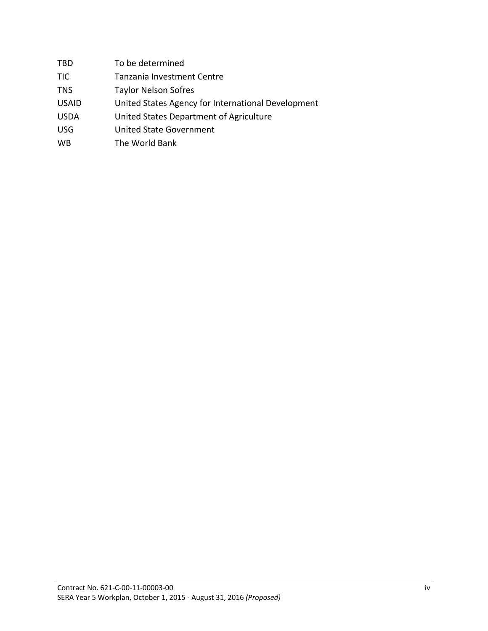| TBD          | To be determined                                   |
|--------------|----------------------------------------------------|
| TIC          | Tanzania Investment Centre                         |
| TNS          | <b>Taylor Nelson Sofres</b>                        |
| <b>USAID</b> | United States Agency for International Development |
| USDA         | United States Department of Agriculture            |
| USG          | United State Government                            |
| WB           | The World Bank                                     |
|              |                                                    |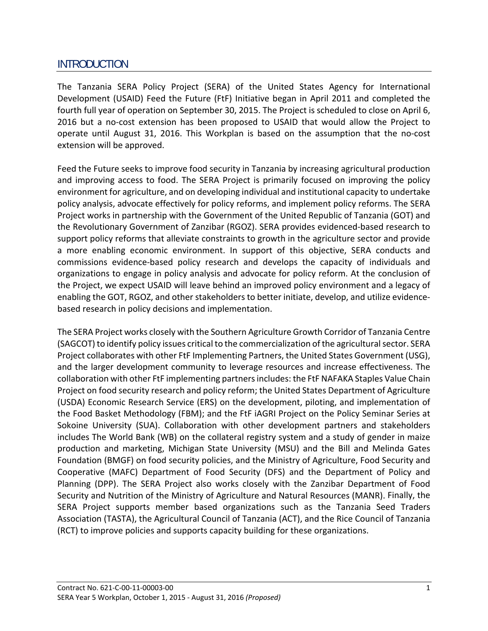# INTRODUCTION

The Tanzania SERA Policy Project (SERA) of the United States Agency for International Development (USAID) Feed the Future (FtF) Initiative began in April 2011 and completed the fourth full year of operation on September 30, 2015. The Project is scheduled to close on April 6, 2016 but a no-cost extension has been proposed to USAID that would allow the Project to operate until August 31, 2016. This Workplan is based on the assumption that the no‐cost extension will be approved.

Feed the Future seeks to improve food security in Tanzania by increasing agricultural production and improving access to food. The SERA Project is primarily focused on improving the policy environment for agriculture, and on developing individual and institutional capacity to undertake policy analysis, advocate effectively for policy reforms, and implement policy reforms. The SERA Project works in partnership with the Government of the United Republic of Tanzania (GOT) and the Revolutionary Government of Zanzibar (RGOZ). SERA provides evidenced‐based research to support policy reforms that alleviate constraints to growth in the agriculture sector and provide a more enabling economic environment. In support of this objective, SERA conducts and commissions evidence‐based policy research and develops the capacity of individuals and organizations to engage in policy analysis and advocate for policy reform. At the conclusion of the Project, we expect USAID will leave behind an improved policy environment and a legacy of enabling the GOT, RGOZ, and other stakeholders to better initiate, develop, and utilize evidence‐ based research in policy decisions and implementation.

The SERA Project works closely with the Southern Agriculture Growth Corridor of Tanzania Centre (SAGCOT) to identify policy issues critical to the commercialization of the agricultural sector. SERA Project collaborates with other FtF Implementing Partners, the United States Government (USG), and the larger development community to leverage resources and increase effectiveness. The collaboration with other FtF implementing partnersincludes: the FtF NAFAKA Staples Value Chain Project on food security research and policy reform; the United States Department of Agriculture (USDA) Economic Research Service (ERS) on the development, piloting, and implementation of the Food Basket Methodology (FBM); and the FtF iAGRI Project on the Policy Seminar Series at Sokoine University (SUA). Collaboration with other development partners and stakeholders includes The World Bank (WB) on the collateral registry system and a study of gender in maize production and marketing, Michigan State University (MSU) and the Bill and Melinda Gates Foundation (BMGF) on food security policies, and the Ministry of Agriculture, Food Security and Cooperative (MAFC) Department of Food Security (DFS) and the Department of Policy and Planning (DPP). The SERA Project also works closely with the Zanzibar Department of Food Security and Nutrition of the Ministry of Agriculture and Natural Resources (MANR). Finally, the SERA Project supports member based organizations such as the Tanzania Seed Traders Association (TASTA), the Agricultural Council of Tanzania (ACT), and the Rice Council of Tanzania (RCT) to improve policies and supports capacity building for these organizations.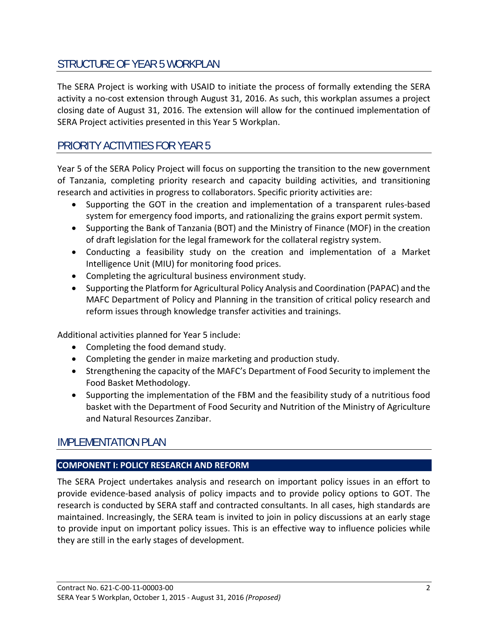# STRUCTURE OF YEAR 5 WORKPLAN

The SERA Project is working with USAID to initiate the process of formally extending the SERA activity a no‐cost extension through August 31, 2016. As such, this workplan assumes a project closing date of August 31, 2016. The extension will allow for the continued implementation of SERA Project activities presented in this Year 5 Workplan.

# PRIORITY ACTIVITIES FOR YEAR 5

Year 5 of the SERA Policy Project will focus on supporting the transition to the new government of Tanzania, completing priority research and capacity building activities, and transitioning research and activities in progress to collaborators. Specific priority activities are:

- Supporting the GOT in the creation and implementation of a transparent rules-based system for emergency food imports, and rationalizing the grains export permit system.
- Supporting the Bank of Tanzania (BOT) and the Ministry of Finance (MOF) in the creation of draft legislation for the legal framework for the collateral registry system.
- Conducting a feasibility study on the creation and implementation of a Market Intelligence Unit (MIU) for monitoring food prices.
- Completing the agricultural business environment study.
- Supporting the Platform for Agricultural Policy Analysis and Coordination (PAPAC) and the MAFC Department of Policy and Planning in the transition of critical policy research and reform issues through knowledge transfer activities and trainings.

Additional activities planned for Year 5 include:

- Completing the food demand study.
- Completing the gender in maize marketing and production study.
- Strengthening the capacity of the MAFC's Department of Food Security to implement the Food Basket Methodology.
- Supporting the implementation of the FBM and the feasibility study of a nutritious food basket with the Department of Food Security and Nutrition of the Ministry of Agriculture and Natural Resources Zanzibar.

# IMPLEMENTATION PLAN

#### **COMPONENT I: POLICY RESEARCH AND REFORM**

The SERA Project undertakes analysis and research on important policy issues in an effort to provide evidence‐based analysis of policy impacts and to provide policy options to GOT. The research is conducted by SERA staff and contracted consultants. In all cases, high standards are maintained. Increasingly, the SERA team is invited to join in policy discussions at an early stage to provide input on important policy issues. This is an effective way to influence policies while they are still in the early stages of development.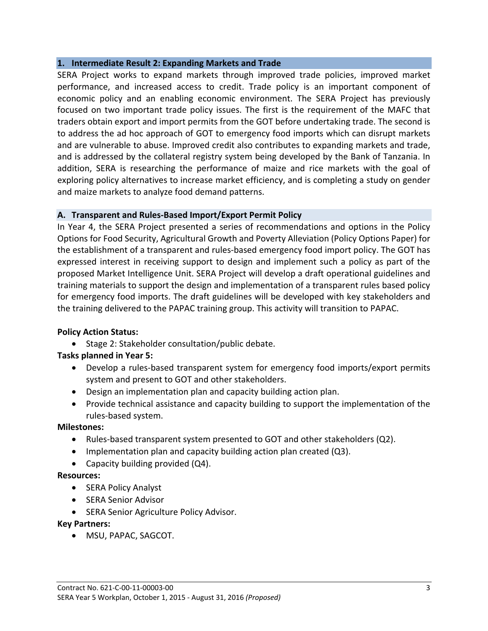#### **1. Intermediate Result 2: Expanding Markets and Trade**

SERA Project works to expand markets through improved trade policies, improved market performance, and increased access to credit. Trade policy is an important component of economic policy and an enabling economic environment. The SERA Project has previously focused on two important trade policy issues. The first is the requirement of the MAFC that traders obtain export and import permits from the GOT before undertaking trade. The second is to address the ad hoc approach of GOT to emergency food imports which can disrupt markets and are vulnerable to abuse. Improved credit also contributes to expanding markets and trade, and is addressed by the collateral registry system being developed by the Bank of Tanzania. In addition, SERA is researching the performance of maize and rice markets with the goal of exploring policy alternatives to increase market efficiency, and is completing a study on gender and maize markets to analyze food demand patterns.

#### **A. Transparent and Rules‐Based Import/Export Permit Policy**

In Year 4, the SERA Project presented a series of recommendations and options in the Policy Options for Food Security, Agricultural Growth and Poverty Alleviation (Policy Options Paper) for the establishment of a transparent and rules‐based emergency food import policy. The GOT has expressed interest in receiving support to design and implement such a policy as part of the proposed Market Intelligence Unit. SERA Project will develop a draft operational guidelines and training materials to support the design and implementation of a transparent rules based policy for emergency food imports. The draft guidelines will be developed with key stakeholders and the training delivered to the PAPAC training group. This activity will transition to PAPAC.

#### **Policy Action Status:**

• Stage 2: Stakeholder consultation/public debate.

#### **Tasks planned in Year 5:**

- Develop a rules-based transparent system for emergency food imports/export permits system and present to GOT and other stakeholders.
- Design an implementation plan and capacity building action plan.
- Provide technical assistance and capacity building to support the implementation of the rules‐based system.

#### **Milestones:**

- Rules-based transparent system presented to GOT and other stakeholders (Q2).
- $\bullet$  Implementation plan and capacity building action plan created (Q3).
- Capacity building provided (Q4).

#### **Resources:**

- SERA Policy Analyst
- SERA Senior Advisor
- SERA Senior Agriculture Policy Advisor.

**Key Partners:** 

MSU, PAPAC, SAGCOT.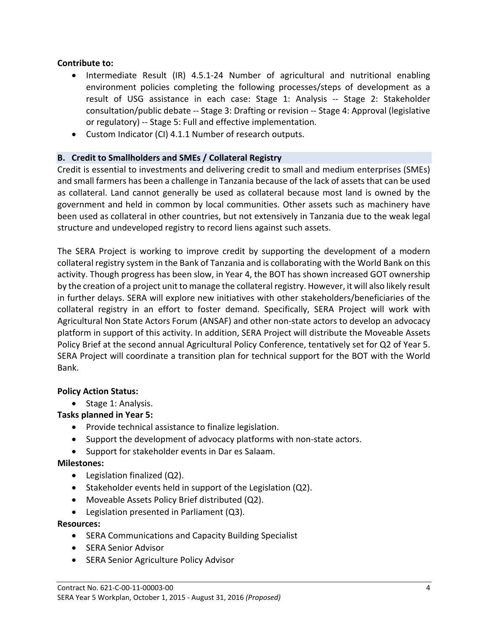#### **Contribute to:**

- Intermediate Result (IR) 4.5.1-24 Number of agricultural and nutritional enabling environment policies completing the following processes/steps of development as a result of USG assistance in each case: Stage 1: Analysis ‐‐ Stage 2: Stakeholder consultation/public debate ‐‐ Stage 3: Drafting or revision ‐‐ Stage 4: Approval (legislative or regulatory) -- Stage 5: Full and effective implementation.
- Custom Indicator (CI) 4.1.1 Number of research outputs.

#### **B. Credit to Smallholders and SMEs / Collateral Registry**

Credit is essential to investments and delivering credit to small and medium enterprises (SMEs) and small farmers has been a challenge in Tanzania because of the lack of assets that can be used as collateral. Land cannot generally be used as collateral because most land is owned by the government and held in common by local communities. Other assets such as machinery have been used as collateral in other countries, but not extensively in Tanzania due to the weak legal structure and undeveloped registry to record liens against such assets.

The SERA Project is working to improve credit by supporting the development of a modern collateral registry system in the Bank of Tanzania and is collaborating with the World Bank on this activity. Though progress has been slow, in Year 4, the BOT has shown increased GOT ownership by the creation of a project unit to manage the collateral registry. However, it will also likely result in further delays. SERA will explore new initiatives with other stakeholders/beneficiaries of the collateral registry in an effort to foster demand. Specifically, SERA Project will work with Agricultural Non State Actors Forum (ANSAF) and other non‐state actors to develop an advocacy platform in support of this activity. In addition, SERA Project will distribute the Moveable Assets Policy Brief at the second annual Agricultural Policy Conference, tentatively set for Q2 of Year 5. SERA Project will coordinate a transition plan for technical support for the BOT with the World Bank.

#### **Policy Action Status:**

• Stage 1: Analysis.

#### **Tasks planned in Year 5:**

- Provide technical assistance to finalize legislation.
- Support the development of advocacy platforms with non-state actors.
- Support for stakeholder events in Dar es Salaam.

#### **Milestones:**

- Legislation finalized (Q2).
- $\bullet$  Stakeholder events held in support of the Legislation (Q2).
- Moveable Assets Policy Brief distributed (Q2).
- Legislation presented in Parliament (Q3).

**Resources:** 

- SERA Communications and Capacity Building Specialist
- SERA Senior Advisor
- SERA Senior Agriculture Policy Advisor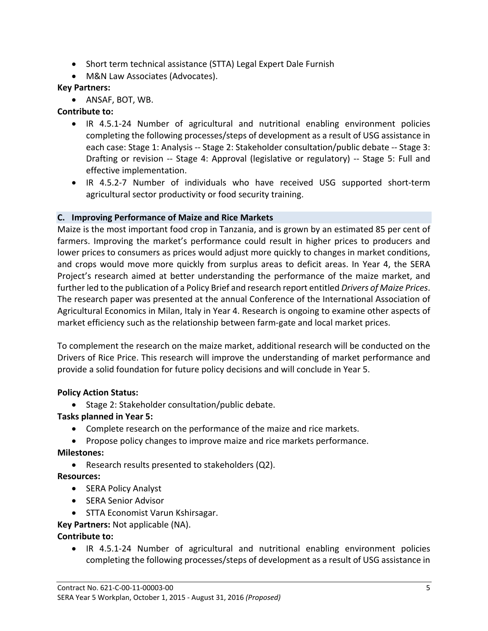- Short term technical assistance (STTA) Legal Expert Dale Furnish
- M&N Law Associates (Advocates).

#### **Key Partners:**

• ANSAF, BOT, WB.

## **Contribute to:**

- IR 4.5.1‐24 Number of agricultural and nutritional enabling environment policies completing the following processes/steps of development as a result of USG assistance in each case: Stage 1: Analysis ‐‐ Stage 2: Stakeholder consultation/public debate ‐‐ Stage 3: Drafting or revision -- Stage 4: Approval (legislative or regulatory) -- Stage 5: Full and effective implementation.
- IR 4.5.2-7 Number of individuals who have received USG supported short-term agricultural sector productivity or food security training.

#### **C. Improving Performance of Maize and Rice Markets**

Maize is the most important food crop in Tanzania, and is grown by an estimated 85 per cent of farmers. Improving the market's performance could result in higher prices to producers and lower prices to consumers as prices would adjust more quickly to changes in market conditions, and crops would move more quickly from surplus areas to deficit areas. In Year 4, the SERA Project's research aimed at better understanding the performance of the maize market, and further led to the publication of a Policy Brief and research report entitled *Drivers of Maize Prices*. The research paper was presented at the annual Conference of the International Association of Agricultural Economics in Milan, Italy in Year 4. Research is ongoing to examine other aspects of market efficiency such as the relationship between farm‐gate and local market prices.

To complement the research on the maize market, additional research will be conducted on the Drivers of Rice Price. This research will improve the understanding of market performance and provide a solid foundation for future policy decisions and will conclude in Year 5.

#### **Policy Action Status:**

• Stage 2: Stakeholder consultation/public debate.

# **Tasks planned in Year 5:**

- Complete research on the performance of the maize and rice markets.
- Propose policy changes to improve maize and rice markets performance.

#### **Milestones:**

Research results presented to stakeholders (Q2).

**Resources:** 

- SERA Policy Analyst
- SERA Senior Advisor
- STTA Economist Varun Kshirsagar.

# **Key Partners:** Not applicable (NA).

# **Contribute to:**

■ IR 4.5.1-24 Number of agricultural and nutritional enabling environment policies completing the following processes/steps of development as a result of USG assistance in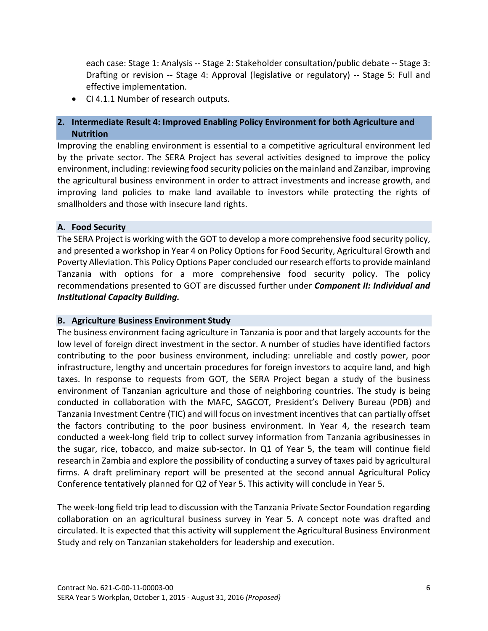each case: Stage 1: Analysis ‐‐ Stage 2: Stakeholder consultation/public debate ‐‐ Stage 3: Drafting or revision -- Stage 4: Approval (legislative or regulatory) -- Stage 5: Full and effective implementation.

• CI 4.1.1 Number of research outputs.

#### **2. Intermediate Result 4: Improved Enabling Policy Environment for both Agriculture and Nutrition**

Improving the enabling environment is essential to a competitive agricultural environment led by the private sector. The SERA Project has several activities designed to improve the policy environment, including: reviewing food security policies on the mainland and Zanzibar, improving the agricultural business environment in order to attract investments and increase growth, and improving land policies to make land available to investors while protecting the rights of smallholders and those with insecure land rights.

#### **A. Food Security**

The SERA Project is working with the GOT to develop a more comprehensive food security policy, and presented a workshop in Year 4 on Policy Options for Food Security, Agricultural Growth and Poverty Alleviation. This Policy Options Paper concluded our research efforts to provide mainland Tanzania with options for a more comprehensive food security policy. The policy recommendations presented to GOT are discussed further under *Component II: Individual and Institutional Capacity Building.*

#### **B. Agriculture Business Environment Study**

The business environment facing agriculture in Tanzania is poor and that largely accounts for the low level of foreign direct investment in the sector. A number of studies have identified factors contributing to the poor business environment, including: unreliable and costly power, poor infrastructure, lengthy and uncertain procedures for foreign investors to acquire land, and high taxes. In response to requests from GOT, the SERA Project began a study of the business environment of Tanzanian agriculture and those of neighboring countries. The study is being conducted in collaboration with the MAFC, SAGCOT, President's Delivery Bureau (PDB) and Tanzania Investment Centre (TIC) and will focus on investment incentives that can partially offset the factors contributing to the poor business environment. In Year 4, the research team conducted a week‐long field trip to collect survey information from Tanzania agribusinesses in the sugar, rice, tobacco, and maize sub-sector. In Q1 of Year 5, the team will continue field research in Zambia and explore the possibility of conducting a survey of taxes paid by agricultural firms. A draft preliminary report will be presented at the second annual Agricultural Policy Conference tentatively planned for Q2 of Year 5. This activity will conclude in Year 5.

The week‐long field trip lead to discussion with the Tanzania Private Sector Foundation regarding collaboration on an agricultural business survey in Year 5. A concept note was drafted and circulated. It is expected that this activity will supplement the Agricultural Business Environment Study and rely on Tanzanian stakeholders for leadership and execution.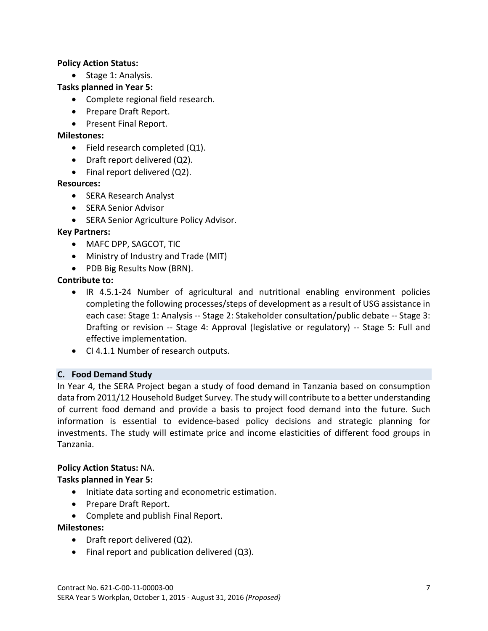#### **Policy Action Status:**

• Stage 1: Analysis.

#### **Tasks planned in Year 5:**

- Complete regional field research.
- Prepare Draft Report.
- Present Final Report.

#### **Milestones:**

- Field research completed (Q1).
- Draft report delivered (Q2).
- Final report delivered (Q2).

#### **Resources:**

- SERA Research Analyst
- SERA Senior Advisor
- SERA Senior Agriculture Policy Advisor.

#### **Key Partners:**

- MAFC DPP, SAGCOT, TIC
- Ministry of Industry and Trade (MIT)
- PDB Big Results Now (BRN).

#### **Contribute to:**

- IR 4.5.1-24 Number of agricultural and nutritional enabling environment policies completing the following processes/steps of development as a result of USG assistance in each case: Stage 1: Analysis ‐‐ Stage 2: Stakeholder consultation/public debate ‐‐ Stage 3: Drafting or revision -- Stage 4: Approval (legislative or regulatory) -- Stage 5: Full and effective implementation.
- CI 4.1.1 Number of research outputs.

#### **C. Food Demand Study**

In Year 4, the SERA Project began a study of food demand in Tanzania based on consumption data from 2011/12 Household Budget Survey. The study will contribute to a better understanding of current food demand and provide a basis to project food demand into the future. Such information is essential to evidence‐based policy decisions and strategic planning for investments. The study will estimate price and income elasticities of different food groups in Tanzania.

#### **Policy Action Status:** NA.

#### **Tasks planned in Year 5:**

- Initiate data sorting and econometric estimation.
- Prepare Draft Report.
- Complete and publish Final Report.

#### **Milestones:**

- Draft report delivered (Q2).
- Final report and publication delivered (Q3).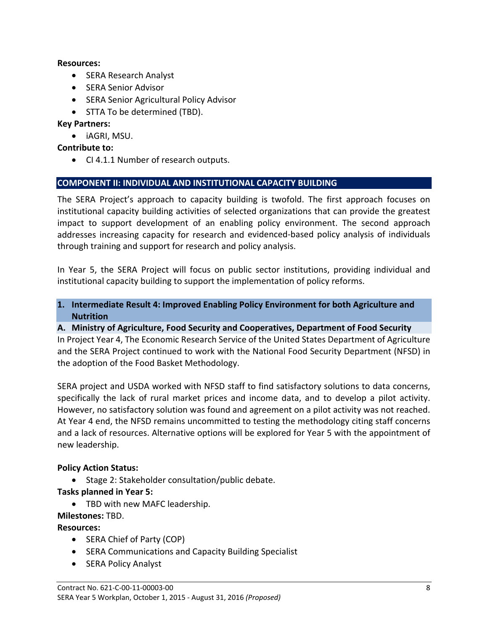#### **Resources:**

- SERA Research Analyst
- SERA Senior Advisor
- **•** SERA Senior Agricultural Policy Advisor
- STTA To be determined (TBD).

#### **Key Partners:**

iAGRI, MSU.

#### **Contribute to:**

• CI 4.1.1 Number of research outputs.

#### **COMPONENT II: INDIVIDUAL AND INSTITUTIONAL CAPACITY BUILDING**

The SERA Project's approach to capacity building is twofold. The first approach focuses on institutional capacity building activities of selected organizations that can provide the greatest impact to support development of an enabling policy environment. The second approach addresses increasing capacity for research and evidenced‐based policy analysis of individuals through training and support for research and policy analysis.

In Year 5, the SERA Project will focus on public sector institutions, providing individual and institutional capacity building to support the implementation of policy reforms.

#### **1. Intermediate Result 4: Improved Enabling Policy Environment for both Agriculture and Nutrition**

#### **A. Ministry of Agriculture, Food Security and Cooperatives, Department of Food Security**

In Project Year 4, The Economic Research Service of the United States Department of Agriculture and the SERA Project continued to work with the National Food Security Department (NFSD) in the adoption of the Food Basket Methodology.

SERA project and USDA worked with NFSD staff to find satisfactory solutions to data concerns, specifically the lack of rural market prices and income data, and to develop a pilot activity. However, no satisfactory solution was found and agreement on a pilot activity was not reached. At Year 4 end, the NFSD remains uncommitted to testing the methodology citing staff concerns and a lack of resources. Alternative options will be explored for Year 5 with the appointment of new leadership.

#### **Policy Action Status:**

• Stage 2: Stakeholder consultation/public debate.

#### **Tasks planned in Year 5:**

• TBD with new MAFC leadership.

#### **Milestones:** TBD.

#### **Resources:**

- SERA Chief of Party (COP)
- **SERA Communications and Capacity Building Specialist**
- SERA Policy Analyst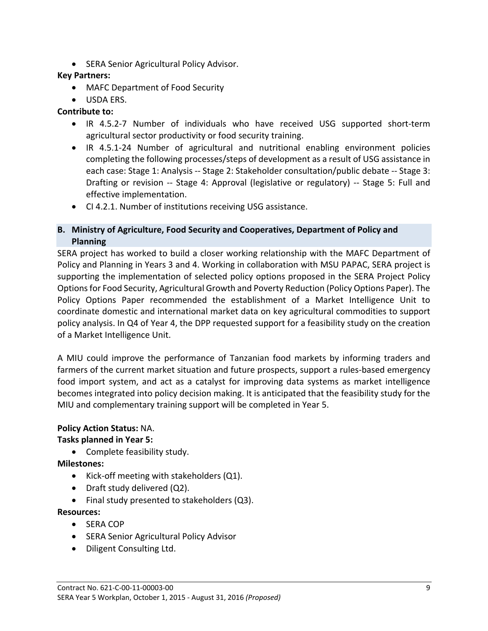**• SERA Senior Agricultural Policy Advisor.** 

## **Key Partners:**

- MAFC Department of Food Security
- USDA ERS.

## **Contribute to:**

- IR 4.5.2‐7 Number of individuals who have received USG supported short‐term agricultural sector productivity or food security training.
- IR 4.5.1-24 Number of agricultural and nutritional enabling environment policies completing the following processes/steps of development as a result of USG assistance in each case: Stage 1: Analysis -- Stage 2: Stakeholder consultation/public debate -- Stage 3: Drafting or revision -- Stage 4: Approval (legislative or regulatory) -- Stage 5: Full and effective implementation.
- CI 4.2.1. Number of institutions receiving USG assistance.

## **B. Ministry of Agriculture, Food Security and Cooperatives, Department of Policy and Planning**

SERA project has worked to build a closer working relationship with the MAFC Department of Policy and Planning in Years 3 and 4. Working in collaboration with MSU PAPAC, SERA project is supporting the implementation of selected policy options proposed in the SERA Project Policy Options for Food Security, Agricultural Growth and Poverty Reduction (Policy Options Paper). The Policy Options Paper recommended the establishment of a Market Intelligence Unit to coordinate domestic and international market data on key agricultural commodities to support policy analysis. In Q4 of Year 4, the DPP requested support for a feasibility study on the creation of a Market Intelligence Unit.

A MIU could improve the performance of Tanzanian food markets by informing traders and farmers of the current market situation and future prospects, support a rules-based emergency food import system, and act as a catalyst for improving data systems as market intelligence becomes integrated into policy decision making. It is anticipated that the feasibility study for the MIU and complementary training support will be completed in Year 5.

# **Policy Action Status:** NA.

# **Tasks planned in Year 5:**

Complete feasibility study.

**Milestones:** 

- Kick-off meeting with stakeholders (Q1).
- Draft study delivered (Q2).
- Final study presented to stakeholders (Q3).

# **Resources:**

- SERA COP
- **•** SERA Senior Agricultural Policy Advisor
- Diligent Consulting Ltd.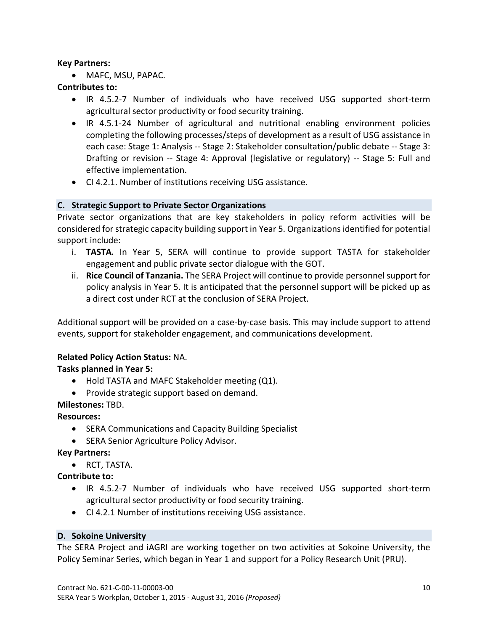#### **Key Partners:**

MAFC, MSU, PAPAC.

#### **Contributes to:**

- IR 4.5.2-7 Number of individuals who have received USG supported short-term agricultural sector productivity or food security training.
- IR 4.5.1‐24 Number of agricultural and nutritional enabling environment policies completing the following processes/steps of development as a result of USG assistance in each case: Stage 1: Analysis ‐‐ Stage 2: Stakeholder consultation/public debate ‐‐ Stage 3: Drafting or revision -- Stage 4: Approval (legislative or regulatory) -- Stage 5: Full and effective implementation.
- CI 4.2.1. Number of institutions receiving USG assistance.

#### **C. Strategic Support to Private Sector Organizations**

Private sector organizations that are key stakeholders in policy reform activities will be considered for strategic capacity building support in Year 5. Organizationsidentified for potential support include:

- i. **TASTA***.* In Year 5, SERA will continue to provide support TASTA for stakeholder engagement and public private sector dialogue with the GOT.
- ii. **Rice Council of Tanzania.** The SERA Project will continue to provide personnel support for policy analysis in Year 5. It is anticipated that the personnel support will be picked up as a direct cost under RCT at the conclusion of SERA Project.

Additional support will be provided on a case‐by‐case basis. This may include support to attend events, support for stakeholder engagement, and communications development.

#### **Related Policy Action Status:** NA.

#### **Tasks planned in Year 5:**

- Hold TASTA and MAFC Stakeholder meeting (Q1).
- Provide strategic support based on demand.

# **Milestones:** TBD.

**Resources:** 

- SERA Communications and Capacity Building Specialist
- **SERA Senior Agriculture Policy Advisor.**

#### **Key Partners:**

• RCT, TASTA.

**Contribute to:** 

- IR 4.5.2‐7 Number of individuals who have received USG supported short‐term agricultural sector productivity or food security training.
- CI 4.2.1 Number of institutions receiving USG assistance.

#### **D. Sokoine University**

The SERA Project and iAGRI are working together on two activities at Sokoine University, the Policy Seminar Series, which began in Year 1 and support for a Policy Research Unit (PRU).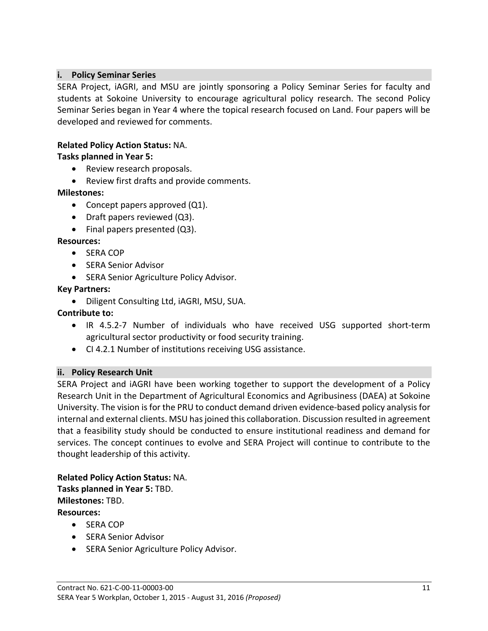#### **i. Policy Seminar Series**

SERA Project, iAGRI, and MSU are jointly sponsoring a Policy Seminar Series for faculty and students at Sokoine University to encourage agricultural policy research. The second Policy Seminar Series began in Year 4 where the topical research focused on Land. Four papers will be developed and reviewed for comments.

#### **Related Policy Action Status:** NA.

#### **Tasks planned in Year 5:**

- Review research proposals.
- Review first drafts and provide comments.

#### **Milestones:**

- Concept papers approved (Q1).
- Draft papers reviewed (Q3).
- Final papers presented (Q3).

#### **Resources:**

- SERA COP
- SERA Senior Advisor
- **•** SERA Senior Agriculture Policy Advisor.

#### **Key Partners:**

Diligent Consulting Ltd, iAGRI, MSU, SUA.

**Contribute to:** 

- IR 4.5.2‐7 Number of individuals who have received USG supported short‐term agricultural sector productivity or food security training.
- CI 4.2.1 Number of institutions receiving USG assistance.

#### **ii. Policy Research Unit**

SERA Project and iAGRI have been working together to support the development of a Policy Research Unit in the Department of Agricultural Economics and Agribusiness (DAEA) at Sokoine University. The vision is for the PRU to conduct demand driven evidence-based policy analysis for internal and external clients. MSU has joined this collaboration. Discussion resulted in agreement that a feasibility study should be conducted to ensure institutional readiness and demand for services. The concept continues to evolve and SERA Project will continue to contribute to the thought leadership of this activity.

**Related Policy Action Status:** NA. **Tasks planned in Year 5:** TBD. **Milestones:** TBD. **Resources:** 

- SERA COP
- **•** SERA Senior Advisor
- **SERA Senior Agriculture Policy Advisor.**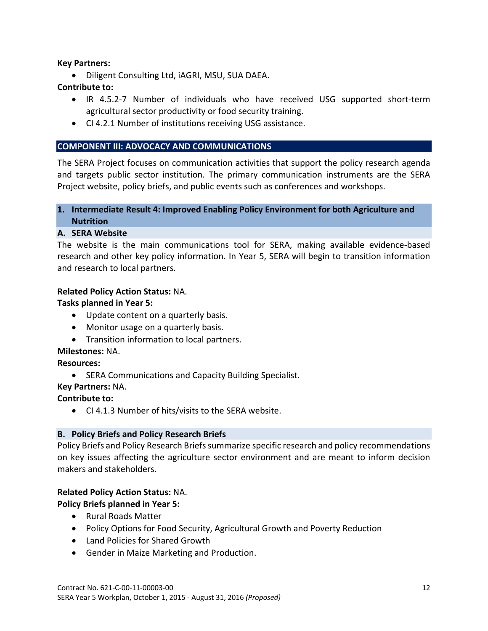#### **Key Partners:**

Diligent Consulting Ltd, iAGRI, MSU, SUA DAEA.

#### **Contribute to:**

- IR 4.5.2-7 Number of individuals who have received USG supported short-term agricultural sector productivity or food security training.
- CI 4.2.1 Number of institutions receiving USG assistance.

## **COMPONENT III: ADVOCACY AND COMMUNICATIONS**

The SERA Project focuses on communication activities that support the policy research agenda and targets public sector institution. The primary communication instruments are the SERA Project website, policy briefs, and public events such as conferences and workshops.

## **1. Intermediate Result 4: Improved Enabling Policy Environment for both Agriculture and Nutrition**

#### **A. SERA Website**

The website is the main communications tool for SERA, making available evidence‐based research and other key policy information. In Year 5, SERA will begin to transition information and research to local partners.

#### **Related Policy Action Status:** NA.

## **Tasks planned in Year 5:**

- Update content on a quarterly basis.
- Monitor usage on a quarterly basis.
- Transition information to local partners.

#### **Milestones:** NA.

# **Resources:**

• SERA Communications and Capacity Building Specialist.

**Key Partners:** NA.

# **Contribute to:**

CI 4.1.3 Number of hits/visits to the SERA website.

#### **B. Policy Briefs and Policy Research Briefs**

Policy Briefs and Policy Research Briefssummarize specific research and policy recommendations on key issues affecting the agriculture sector environment and are meant to inform decision makers and stakeholders.

#### **Related Policy Action Status:** NA.

# **Policy Briefs planned in Year 5:**

- Rural Roads Matter
- Policy Options for Food Security, Agricultural Growth and Poverty Reduction
- Land Policies for Shared Growth
- Gender in Maize Marketing and Production.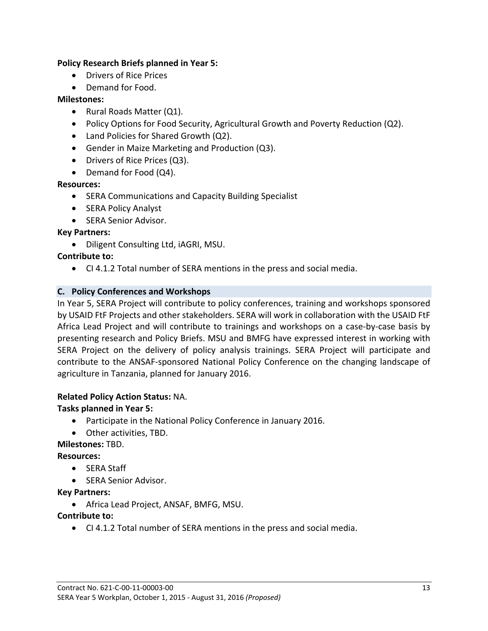#### **Policy Research Briefs planned in Year 5:**

- Drivers of Rice Prices
- Demand for Food.

#### **Milestones:**

- Rural Roads Matter (Q1).
- Policy Options for Food Security, Agricultural Growth and Poverty Reduction (Q2).
- Land Policies for Shared Growth (Q2).
- Gender in Maize Marketing and Production (Q3).
- Drivers of Rice Prices (Q3).
- Demand for Food (Q4).

#### **Resources:**

- **SERA Communications and Capacity Building Specialist**
- SERA Policy Analyst
- SERA Senior Advisor.

#### **Key Partners:**

• Diligent Consulting Ltd, iAGRI, MSU.

#### **Contribute to:**

CI 4.1.2 Total number of SERA mentions in the press and social media.

#### **C. Policy Conferences and Workshops**

In Year 5, SERA Project will contribute to policy conferences, training and workshops sponsored by USAID FtF Projects and other stakeholders. SERA will work in collaboration with the USAID FtF Africa Lead Project and will contribute to trainings and workshops on a case‐by‐case basis by presenting research and Policy Briefs. MSU and BMFG have expressed interest in working with SERA Project on the delivery of policy analysis trainings. SERA Project will participate and contribute to the ANSAF‐sponsored National Policy Conference on the changing landscape of agriculture in Tanzania, planned for January 2016.

#### **Related Policy Action Status:** NA.

#### **Tasks planned in Year 5:**

- Participate in the National Policy Conference in January 2016.
- Other activities, TBD.

#### **Milestones:** TBD.

#### **Resources:**

- SERA Staff
- SERA Senior Advisor.

#### **Key Partners:**

Africa Lead Project, ANSAF, BMFG, MSU.

#### **Contribute to:**

CI 4.1.2 Total number of SERA mentions in the press and social media.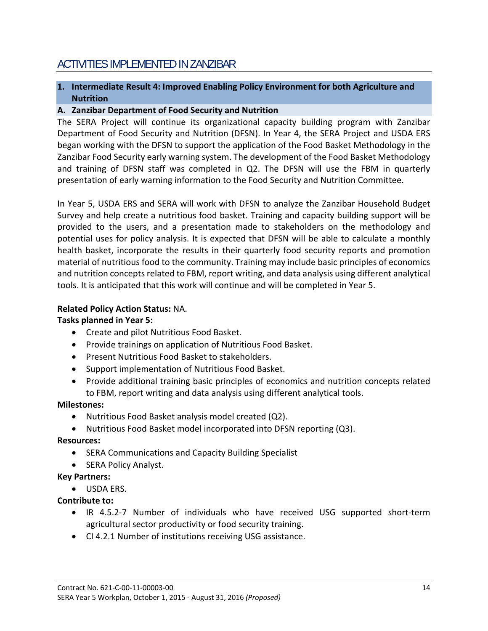# ACTIVITIES IMPLEMENTED IN ZANZIBAR

## **1. Intermediate Result 4: Improved Enabling Policy Environment for both Agriculture and Nutrition**

#### **A. Zanzibar Department of Food Security and Nutrition**

The SERA Project will continue its organizational capacity building program with Zanzibar Department of Food Security and Nutrition (DFSN). In Year 4, the SERA Project and USDA ERS began working with the DFSN to support the application of the Food Basket Methodology in the Zanzibar Food Security early warning system. The development of the Food Basket Methodology and training of DFSN staff was completed in Q2. The DFSN will use the FBM in quarterly presentation of early warning information to the Food Security and Nutrition Committee.

In Year 5, USDA ERS and SERA will work with DFSN to analyze the Zanzibar Household Budget Survey and help create a nutritious food basket. Training and capacity building support will be provided to the users, and a presentation made to stakeholders on the methodology and potential uses for policy analysis. It is expected that DFSN will be able to calculate a monthly health basket, incorporate the results in their quarterly food security reports and promotion material of nutritious food to the community. Training may include basic principles of economics and nutrition concepts related to FBM, report writing, and data analysis using different analytical tools. It is anticipated that this work will continue and will be completed in Year 5.

#### **Related Policy Action Status:** NA.

## **Tasks planned in Year 5:**

- Create and pilot Nutritious Food Basket.
- Provide trainings on application of Nutritious Food Basket.
- Present Nutritious Food Basket to stakeholders.
- Support implementation of Nutritious Food Basket.
- Provide additional training basic principles of economics and nutrition concepts related to FBM, report writing and data analysis using different analytical tools.

# **Milestones:**

- Nutritious Food Basket analysis model created (Q2).
- Nutritious Food Basket model incorporated into DFSN reporting (Q3).

# **Resources:**

- SERA Communications and Capacity Building Specialist
- SERA Policy Analyst.

# **Key Partners:**

 $\bullet$  USDA FRS.

# **Contribute to:**

- IR 4.5.2‐7 Number of individuals who have received USG supported short‐term agricultural sector productivity or food security training.
- CI 4.2.1 Number of institutions receiving USG assistance.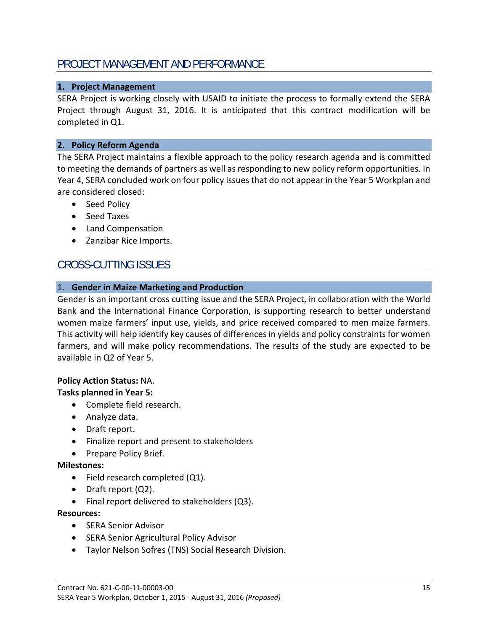# PROJECT MANAGEMENT AND PERFORMANCE

#### **1. Project Management**

SERA Project is working closely with USAID to initiate the process to formally extend the SERA Project through August 31, 2016. It is anticipated that this contract modification will be completed in Q1.

#### **2. Policy Reform Agenda**

The SERA Project maintains a flexible approach to the policy research agenda and is committed to meeting the demands of partners as well as responding to new policy reform opportunities. In Year 4, SERA concluded work on four policy issues that do not appear in the Year 5 Workplan and are considered closed:

- Seed Policy
- Seed Taxes
- Land Compensation
- Zanzibar Rice Imports.

# CROSS-CUTTING ISSUES

#### 1. **Gender in Maize Marketing and Production**

Gender is an important cross cutting issue and the SERA Project, in collaboration with the World Bank and the International Finance Corporation, is supporting research to better understand women maize farmers' input use, yields, and price received compared to men maize farmers. This activity will help identify key causes of differences in yields and policy constraints for women farmers, and will make policy recommendations. The results of the study are expected to be available in Q2 of Year 5.

#### **Policy Action Status:** NA. **Tasks planned in Year 5:**

- Complete field research.
- Analyze data.
- Draft report.
- Finalize report and present to stakeholders
- Prepare Policy Brief.

#### **Milestones:**

- Field research completed (Q1).
- Draft report (Q2).
- Final report delivered to stakeholders (Q3).

#### **Resources:**

- SERA Senior Advisor
- **•** SERA Senior Agricultural Policy Advisor
- Taylor Nelson Sofres (TNS) Social Research Division.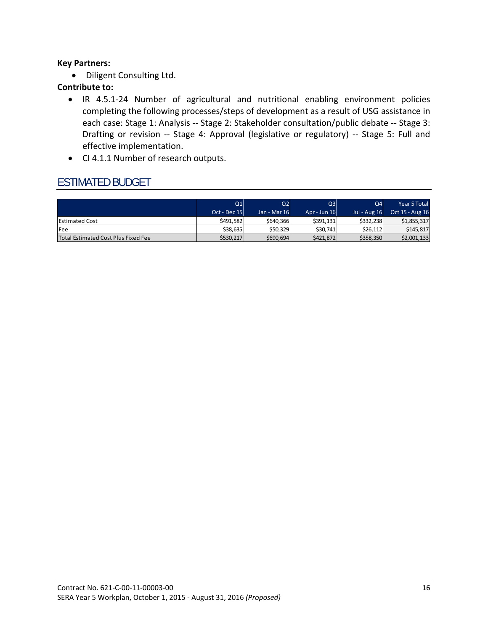#### **Key Partners:**

Diligent Consulting Ltd.

#### **Contribute to:**

- IR 4.5.1‐24 Number of agricultural and nutritional enabling environment policies completing the following processes/steps of development as a result of USG assistance in each case: Stage 1: Analysis -- Stage 2: Stakeholder consultation/public debate -- Stage 3: Drafting or revision -- Stage 4: Approval (legislative or regulatory) -- Stage 5: Full and effective implementation.
- CI 4.1.1 Number of research outputs.

# ESTIMATED BUDGET

|                                     | Q1<br>Oct - Dec 15 | Q2<br>Jan - Mar 16 | Q <sub>3</sub><br>Apr - Jun 16 | Q4l<br><b>Jul - Aug 16</b> | Year 5 Total<br>Oct 15 - Aug 16 |
|-------------------------------------|--------------------|--------------------|--------------------------------|----------------------------|---------------------------------|
| <b>Estimated Cost</b>               | \$491.582          | \$640,366          | \$391,131                      | \$332,238                  | \$1,855,317                     |
| Fee                                 | \$38,635           | \$50,329           | \$30.741                       | \$26,112                   | \$145,817                       |
| Total Estimated Cost Plus Fixed Fee | \$530.217          | \$690,694          | \$421.872                      | \$358,350                  | \$2,001,133                     |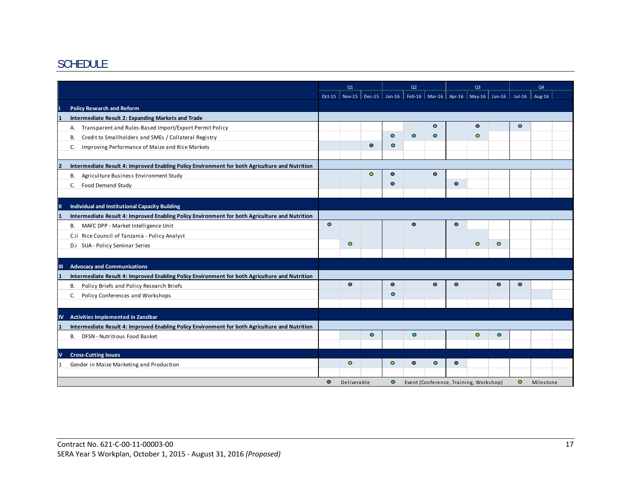# SCHEDULE

|                         |                                                                                                | Q1        |             | Q <sub>2</sub> |           |                                        | Q <sub>3</sub> |           |           | Q <sub>4</sub>                                                        |                |           |  |
|-------------------------|------------------------------------------------------------------------------------------------|-----------|-------------|----------------|-----------|----------------------------------------|----------------|-----------|-----------|-----------------------------------------------------------------------|----------------|-----------|--|
|                         |                                                                                                | $Oct-15$  |             |                |           |                                        |                |           |           | Nov-15   Dec-15   Jan-16   Feb-16   Mar-16   Apr-16   May-16   Jun-16 | Jul-16 $\vert$ | Aug-16    |  |
|                         | <b>Policy Research and Reform</b>                                                              |           |             |                |           |                                        |                |           |           |                                                                       |                |           |  |
|                         | Intermediate Result 2: Expanding Markets and Trade                                             |           |             |                |           |                                        |                |           |           |                                                                       |                |           |  |
|                         | Transparent and Rules-Based Import/Export Permit Policy<br>А.                                  |           |             |                |           |                                        | $\circ$        |           | $\bullet$ |                                                                       | $\bullet$      |           |  |
|                         | Credit to Smallholders and SMEs / Collateral Registry<br>В.                                    |           |             |                | $\bullet$ | $\circ$                                | $\bullet$      |           | $\circ$   |                                                                       |                |           |  |
|                         | Improving Performance of Maize and Rice Markets<br>C.                                          |           |             | $\bullet$      | $\circ$   |                                        |                |           |           |                                                                       |                |           |  |
|                         |                                                                                                |           |             |                |           |                                        |                |           |           |                                                                       |                |           |  |
| $\overline{\mathbf{z}}$ | Intermediate Result 4: Improved Enabling Policy Environment for both Agriculture and Nutrition |           |             |                |           |                                        |                |           |           |                                                                       |                |           |  |
|                         | B. Agriculture Business Environment Study                                                      |           |             | $\circ$        | $\bullet$ |                                        | $\bullet$      |           |           |                                                                       |                |           |  |
|                         | <b>Food Demand Study</b><br>С.                                                                 |           |             |                | $\bullet$ |                                        |                | $\bullet$ |           |                                                                       |                |           |  |
|                         |                                                                                                |           |             |                |           |                                        |                |           |           |                                                                       |                |           |  |
| Ш                       | Individual and Institutional Capacity Building                                                 |           |             |                |           |                                        |                |           |           |                                                                       |                |           |  |
|                         | Intermediate Result 4: Improved Enabling Policy Environment for both Agriculture and Nutrition |           |             |                |           |                                        |                |           |           |                                                                       |                |           |  |
|                         | B. MAFC DPP - Market Intelligence Unit                                                         | $\bullet$ |             |                |           | $\bullet$                              |                | $\bullet$ |           |                                                                       |                |           |  |
|                         | C.ii Rice Council of Tanzania - Policy Analyst                                                 |           |             |                |           |                                        |                |           |           |                                                                       |                |           |  |
|                         | D.i SUA - Policy Seminar Series                                                                |           | $\circ$     |                |           |                                        |                |           | $\circ$   | $\circ$                                                               |                |           |  |
|                         |                                                                                                |           |             |                |           |                                        |                |           |           |                                                                       |                |           |  |
| $\mathbf{m}$            | <b>Advocacy and Communications</b>                                                             |           |             |                |           |                                        |                |           |           |                                                                       |                |           |  |
|                         | Intermediate Result 4: Improved Enabling Policy Environment for both Agriculture and Nutrition |           |             |                |           |                                        |                |           |           |                                                                       |                |           |  |
|                         | Policy Briefs and Policy Research Briefs<br>В.                                                 |           | $\bullet$   |                | $\bullet$ |                                        | $\bullet$      | $\circ$   |           | $\bullet$                                                             | $\bullet$      |           |  |
|                         | Policy Conferences and Workshops<br>C.                                                         |           |             |                | $\bullet$ |                                        |                |           |           |                                                                       |                |           |  |
|                         |                                                                                                |           |             |                |           |                                        |                |           |           |                                                                       |                |           |  |
| <b>IV</b>               | Activities Implemented in Zanzibar                                                             |           |             |                |           |                                        |                |           |           |                                                                       |                |           |  |
|                         | Intermediate Result 4: Improved Enabling Policy Environment for both Agriculture and Nutrition |           |             |                |           |                                        |                |           |           |                                                                       |                |           |  |
|                         | DFSN - Nutritious Food Basket<br>В.                                                            |           |             | $\bullet$      |           | $\circ$                                |                |           | $\circ$   | $\bullet$                                                             |                |           |  |
|                         |                                                                                                |           |             |                |           |                                        |                |           |           |                                                                       |                |           |  |
| V                       | <b>Cross-Cutting Issues</b>                                                                    |           |             |                |           |                                        |                |           |           |                                                                       |                |           |  |
|                         | Gender in Maize Marketing and Production                                                       |           | $\circ$     |                | $\circ$   | $\circ$                                | $\bullet$      | $\circ$   |           |                                                                       |                |           |  |
|                         |                                                                                                |           |             |                |           |                                        |                |           |           |                                                                       |                |           |  |
|                         |                                                                                                | $\bullet$ | Deliverable |                | $\bullet$ | Event (Conference, Training, Workshop) |                |           |           |                                                                       | $\circ$        | Milestone |  |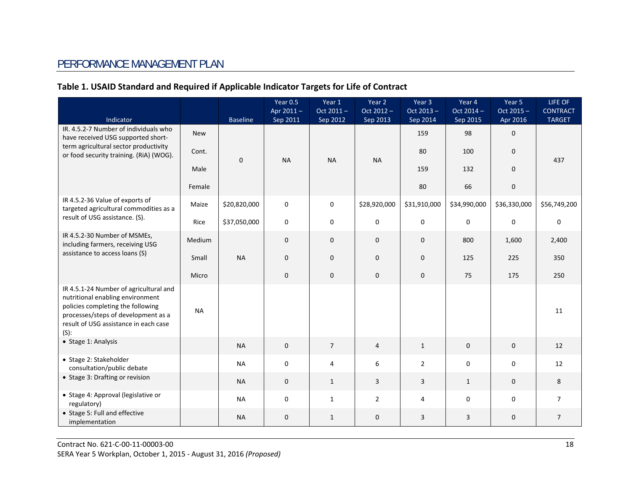# PERFORMANCE MANAGEMENT PLAN

#### **Table 1. USAID Standard and Required if Applicable Indicator Targets for Life of Contract**

| Indicator                                                                                                                                                                                                  |            | <b>Baseline</b> | Year 0.5<br>Apr 2011-<br>Sep 2011 | Year 1<br>Oct 2011-<br>Sep 2012 | Year 2<br>Oct 2012 -<br>Sep 2013 | Year 3<br>Oct 2013 -<br>Sep 2014 | Year 4<br>Oct 2014 -<br>Sep 2015 | Year 5<br>Oct 2015-<br>Apr 2016 | LIFE OF<br><b>CONTRACT</b><br><b>TARGET</b> |
|------------------------------------------------------------------------------------------------------------------------------------------------------------------------------------------------------------|------------|-----------------|-----------------------------------|---------------------------------|----------------------------------|----------------------------------|----------------------------------|---------------------------------|---------------------------------------------|
| IR. 4.5.2-7 Number of individuals who<br>have received USG supported short-                                                                                                                                | <b>New</b> |                 |                                   |                                 |                                  | 159                              | 98                               | $\mathbf 0$                     |                                             |
| term agricultural sector productivity<br>or food security training. (RiA) (WOG).                                                                                                                           | Cont.      |                 |                                   |                                 |                                  | 80                               | 100                              | $\pmb{0}$                       |                                             |
|                                                                                                                                                                                                            | Male       | $\mathbf 0$     | <b>NA</b>                         | <b>NA</b>                       | <b>NA</b>                        | 159                              | 132                              | $\mathbf 0$                     | 437                                         |
|                                                                                                                                                                                                            | Female     |                 |                                   |                                 |                                  | 80                               | 66                               | $\mathbf 0$                     |                                             |
| IR 4.5.2-36 Value of exports of<br>targeted agricultural commodities as a                                                                                                                                  | Maize      | \$20,820,000    | $\mathbf 0$                       | $\pmb{0}$                       | \$28,920,000                     | \$31,910,000                     | \$34,990,000                     | \$36,330,000                    | \$56,749,200                                |
| result of USG assistance. (S).                                                                                                                                                                             | Rice       | \$37,050,000    | $\mathbf 0$                       | $\pmb{0}$                       | $\mathbf 0$                      | $\pmb{0}$                        | $\mathbf 0$                      | $\pmb{0}$                       | $\mathbf 0$                                 |
| IR 4.5.2-30 Number of MSMEs,<br>including farmers, receiving USG                                                                                                                                           | Medium     |                 | $\mathbf{0}$                      | $\mathbf 0$                     | $\mathbf{0}$                     | $\mathbf 0$                      | 800                              | 1,600                           | 2,400                                       |
| assistance to access loans (S)                                                                                                                                                                             | Small      | <b>NA</b>       | $\mathbf{0}$                      | $\pmb{0}$                       | $\mathbf{0}$                     | $\mathbf 0$                      | 125                              | 225                             | 350                                         |
|                                                                                                                                                                                                            | Micro      |                 | $\mathbf 0$                       | $\pmb{0}$                       | $\mathbf 0$                      | $\pmb{0}$                        | 75                               | 175                             | 250                                         |
| IR 4.5.1-24 Number of agricultural and<br>nutritional enabling environment<br>policies completing the following<br>processes/steps of development as a<br>result of USG assistance in each case<br>$(S)$ : | <b>NA</b>  |                 |                                   |                                 |                                  |                                  |                                  |                                 | 11                                          |
| • Stage 1: Analysis                                                                                                                                                                                        |            | <b>NA</b>       | $\mathbf{0}$                      | $\overline{7}$                  | $\overline{4}$                   | $\mathbf{1}$                     | $\mathbf{0}$                     | $\mathbf 0$                     | 12                                          |
| • Stage 2: Stakeholder<br>consultation/public debate                                                                                                                                                       |            | <b>NA</b>       | $\mathbf 0$                       | $\overline{4}$                  | 6                                | $\overline{2}$                   | $\mathbf 0$                      | $\mathbf 0$                     | 12                                          |
| • Stage 3: Drafting or revision                                                                                                                                                                            |            | <b>NA</b>       | $\mathbf 0$                       | $\mathbf{1}$                    | 3                                | 3                                | $\mathbf{1}$                     | $\mathbf 0$                     | 8                                           |
| · Stage 4: Approval (legislative or<br>regulatory)                                                                                                                                                         |            | <b>NA</b>       | $\Omega$                          | $\mathbf{1}$                    | $\overline{2}$                   | $\overline{4}$                   | $\mathbf 0$                      | $\mathbf 0$                     | $\overline{7}$                              |
| • Stage 5: Full and effective<br>implementation                                                                                                                                                            |            | <b>NA</b>       | $\mathbf{0}$                      | $\mathbf{1}$                    | $\mathbf{0}$                     | 3                                | $\overline{3}$                   | $\mathbf{0}$                    | $\overline{7}$                              |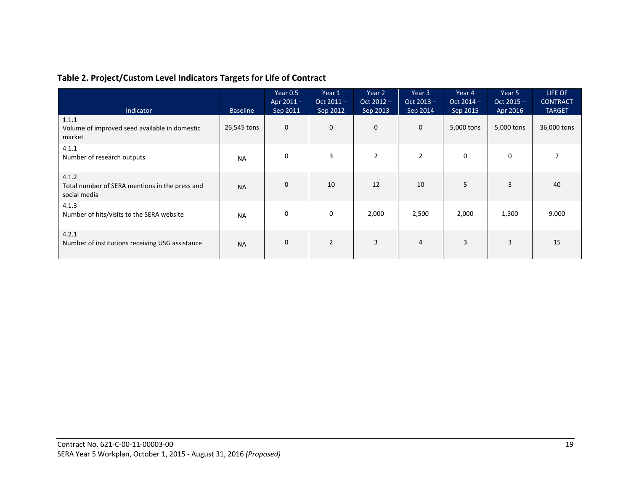|  |  | Table 2. Project/Custom Level Indicators Targets for Life of Contract |
|--|--|-----------------------------------------------------------------------|
|  |  |                                                                       |

| Indicator                                                               | <b>Baseline</b> | Year 0.5<br>Apr $2011 -$<br>Sep 2011 | Year 1<br>$Oct 2011 -$<br>Sep 2012 | Year 2<br>$Oct 2012 -$<br>Sep 2013 | Year 3<br>$Oct 2013 -$<br>Sep 2014 | Year 4<br>$Oct 2014 -$<br>Sep 2015 | Year 5<br>$Oct 2015 -$<br>Apr 2016 | LIFE OF<br><b>CONTRACT</b><br><b>TARGET</b> |
|-------------------------------------------------------------------------|-----------------|--------------------------------------|------------------------------------|------------------------------------|------------------------------------|------------------------------------|------------------------------------|---------------------------------------------|
| 1.1.1<br>Volume of improved seed available in domestic<br>market        | 26,545 tons     | $\mathbf 0$                          | $\mathbf 0$                        | $\mathbf 0$                        | $\mathbf{0}$                       | 5,000 tons                         | 5,000 tons                         | 36,000 tons                                 |
| 4.1.1<br>Number of research outputs                                     | <b>NA</b>       | $\mathbf 0$                          | 3                                  | $\overline{2}$                     | $\overline{2}$                     | $\mathbf 0$                        | $\mathbf 0$                        |                                             |
| 4.1.2<br>Total number of SERA mentions in the press and<br>social media | <b>NA</b>       | $\mathbf 0$                          | 10                                 | 12                                 | 10                                 | 5                                  | 3                                  | 40                                          |
| 4.1.3<br>Number of hits/visits to the SERA website                      | <b>NA</b>       | 0                                    | 0                                  | 2,000                              | 2,500                              | 2,000                              | 1,500                              | 9,000                                       |
| 4.2.1<br>Number of institutions receiving USG assistance                | <b>NA</b>       | $\mathbf 0$                          | $\overline{2}$                     | 3                                  | $\overline{4}$                     | 3                                  | 3                                  | 15                                          |